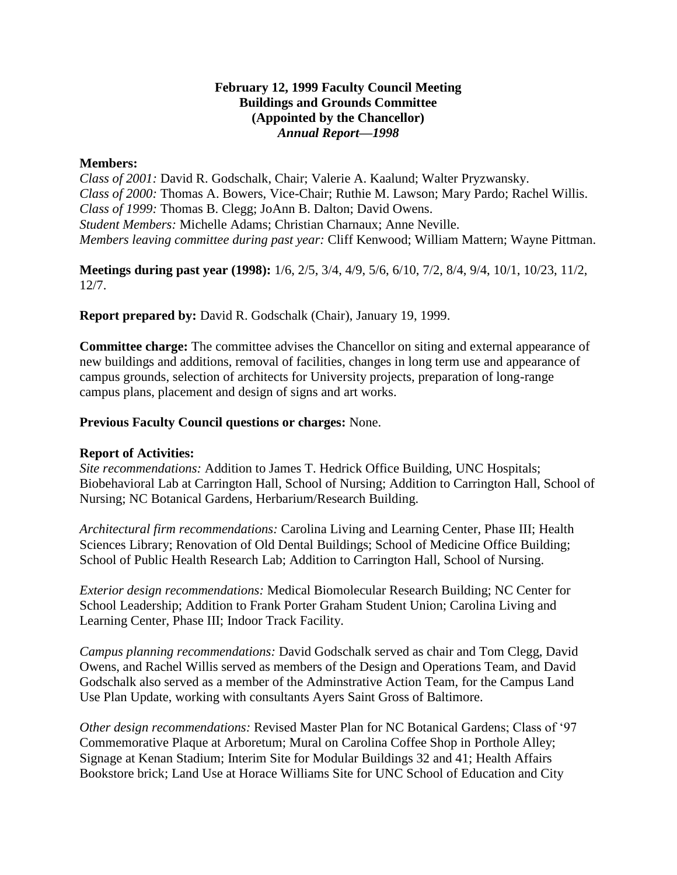### **February 12, 1999 Faculty Council Meeting Buildings and Grounds Committee (Appointed by the Chancellor)** *Annual Report—1998*

### **Members:**

*Class of 2001:* David R. Godschalk, Chair; Valerie A. Kaalund; Walter Pryzwansky. *Class of 2000:* Thomas A. Bowers, Vice-Chair; Ruthie M. Lawson; Mary Pardo; Rachel Willis. *Class of 1999:* Thomas B. Clegg; JoAnn B. Dalton; David Owens. *Student Members:* Michelle Adams; Christian Charnaux; Anne Neville. *Members leaving committee during past year:* Cliff Kenwood; William Mattern; Wayne Pittman.

**Meetings during past year (1998):** 1/6, 2/5, 3/4, 4/9, 5/6, 6/10, 7/2, 8/4, 9/4, 10/1, 10/23, 11/2, 12/7.

**Report prepared by:** David R. Godschalk (Chair), January 19, 1999.

**Committee charge:** The committee advises the Chancellor on siting and external appearance of new buildings and additions, removal of facilities, changes in long term use and appearance of campus grounds, selection of architects for University projects, preparation of long-range campus plans, placement and design of signs and art works.

# **Previous Faculty Council questions or charges:** None.

# **Report of Activities:**

*Site recommendations:* Addition to James T. Hedrick Office Building, UNC Hospitals; Biobehavioral Lab at Carrington Hall, School of Nursing; Addition to Carrington Hall, School of Nursing; NC Botanical Gardens, Herbarium/Research Building.

*Architectural firm recommendations:* Carolina Living and Learning Center, Phase III; Health Sciences Library; Renovation of Old Dental Buildings; School of Medicine Office Building; School of Public Health Research Lab; Addition to Carrington Hall, School of Nursing.

*Exterior design recommendations:* Medical Biomolecular Research Building; NC Center for School Leadership; Addition to Frank Porter Graham Student Union; Carolina Living and Learning Center, Phase III; Indoor Track Facility.

*Campus planning recommendations:* David Godschalk served as chair and Tom Clegg, David Owens, and Rachel Willis served as members of the Design and Operations Team, and David Godschalk also served as a member of the Adminstrative Action Team, for the Campus Land Use Plan Update, working with consultants Ayers Saint Gross of Baltimore.

*Other design recommendations:* Revised Master Plan for NC Botanical Gardens; Class of '97 Commemorative Plaque at Arboretum; Mural on Carolina Coffee Shop in Porthole Alley; Signage at Kenan Stadium; Interim Site for Modular Buildings 32 and 41; Health Affairs Bookstore brick; Land Use at Horace Williams Site for UNC School of Education and City